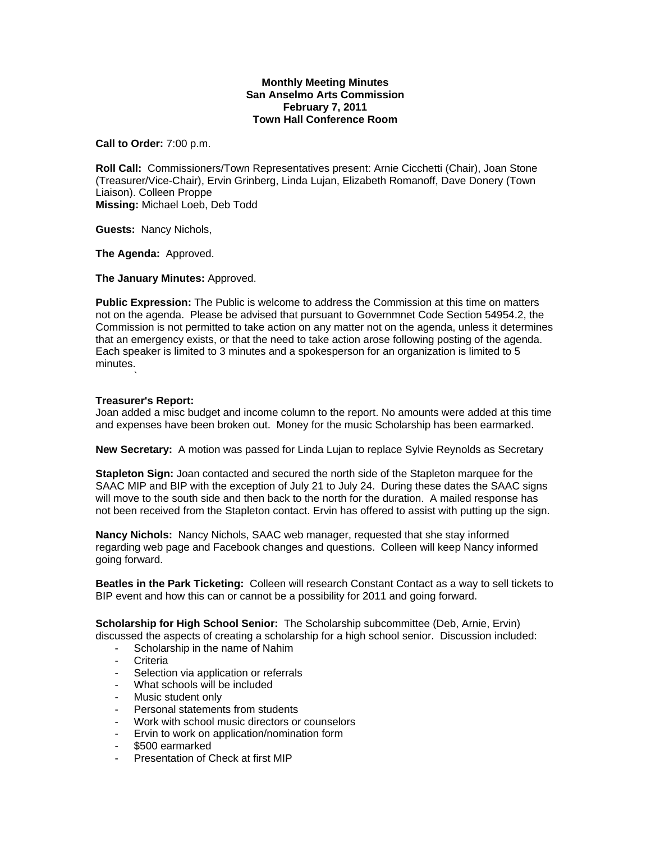## **Monthly Meeting Minutes San Anselmo Arts Commission February 7, 2011 Town Hall Conference Room**

**Call to Order:** 7:00 p.m.

**Roll Call:** Commissioners/Town Representatives present: Arnie Cicchetti (Chair), Joan Stone (Treasurer/Vice-Chair), Ervin Grinberg, Linda Lujan, Elizabeth Romanoff, Dave Donery (Town Liaison). Colleen Proppe **Missing:** Michael Loeb, Deb Todd

**Guests:** Nancy Nichols,

**The Agenda:** Approved.

**The January Minutes:** Approved.

**Public Expression:** The Public is welcome to address the Commission at this time on matters not on the agenda. Please be advised that pursuant to Governmnet Code Section 54954.2, the Commission is not permitted to take action on any matter not on the agenda, unless it determines that an emergency exists, or that the need to take action arose following posting of the agenda. Each speaker is limited to 3 minutes and a spokesperson for an organization is limited to 5 minutes.

## **Treasurer's Report:**

and a string

Joan added a misc budget and income column to the report. No amounts were added at this time and expenses have been broken out. Money for the music Scholarship has been earmarked.

**New Secretary:** A motion was passed for Linda Lujan to replace Sylvie Reynolds as Secretary

**Stapleton Sign:** Joan contacted and secured the north side of the Stapleton marquee for the SAAC MIP and BIP with the exception of July 21 to July 24. During these dates the SAAC signs will move to the south side and then back to the north for the duration. A mailed response has not been received from the Stapleton contact. Ervin has offered to assist with putting up the sign.

**Nancy Nichols:** Nancy Nichols, SAAC web manager, requested that she stay informed regarding web page and Facebook changes and questions. Colleen will keep Nancy informed going forward.

**Beatles in the Park Ticketing:** Colleen will research Constant Contact as a way to sell tickets to BIP event and how this can or cannot be a possibility for 2011 and going forward.

**Scholarship for High School Senior:** The Scholarship subcommittee (Deb, Arnie, Ervin) discussed the aspects of creating a scholarship for a high school senior. Discussion included:

- Scholarship in the name of Nahim
- **Criteria**
- Selection via application or referrals
- What schools will be included
- Music student only
- Personal statements from students
- Work with school music directors or counselors
- Ervin to work on application/nomination form
- \$500 earmarked
- Presentation of Check at first MIP